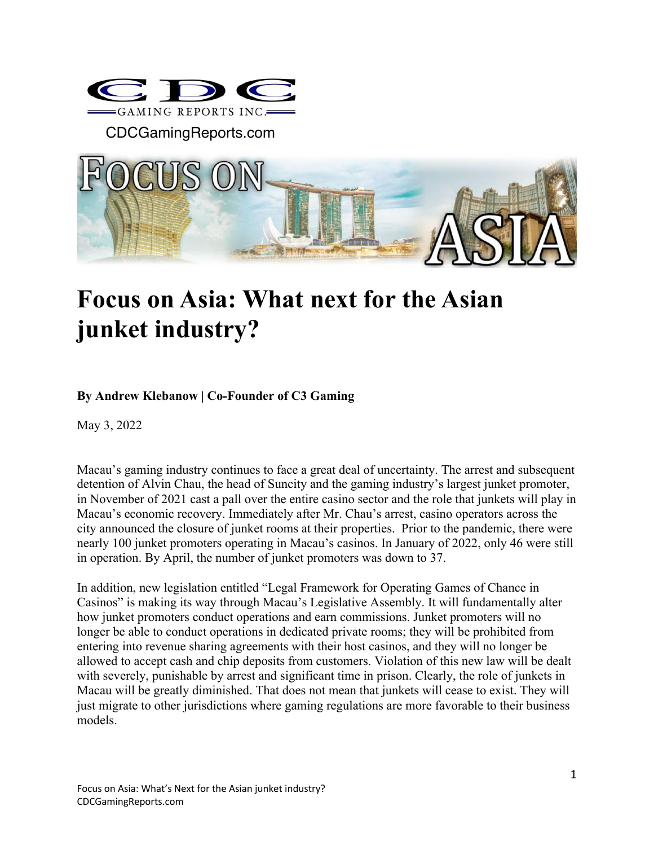

CDCGamingReports.com



# **Focus on Asia: What next for the Asian junket industry?**

### **By Andrew Klebanow | Co-Founder of C3 Gaming**

May 3, 2022

Macau's gaming industry continues to face a great deal of uncertainty. The arrest and subsequent detention of Alvin Chau, the head of Suncity and the gaming industry's largest junket promoter, in November of 2021 cast a pall over the entire casino sector and the role that junkets will play in Macau's economic recovery. Immediately after Mr. Chau's arrest, casino operators across the city announced the closure of junket rooms at their properties. Prior to the pandemic, there were nearly 100 junket promoters operating in Macau's casinos. In January of 2022, only 46 were still in operation. By April, the number of junket promoters was down to 37.

In addition, new legislation entitled "Legal Framework for Operating Games of Chance in Casinos" is making its way through Macau's Legislative Assembly. It will fundamentally alter how junket promoters conduct operations and earn commissions. Junket promoters will no longer be able to conduct operations in dedicated private rooms; they will be prohibited from entering into revenue sharing agreements with their host casinos, and they will no longer be allowed to accept cash and chip deposits from customers. Violation of this new law will be dealt with severely, punishable by arrest and significant time in prison. Clearly, the role of junkets in Macau will be greatly diminished. That does not mean that junkets will cease to exist. They will just migrate to other jurisdictions where gaming regulations are more favorable to their business models.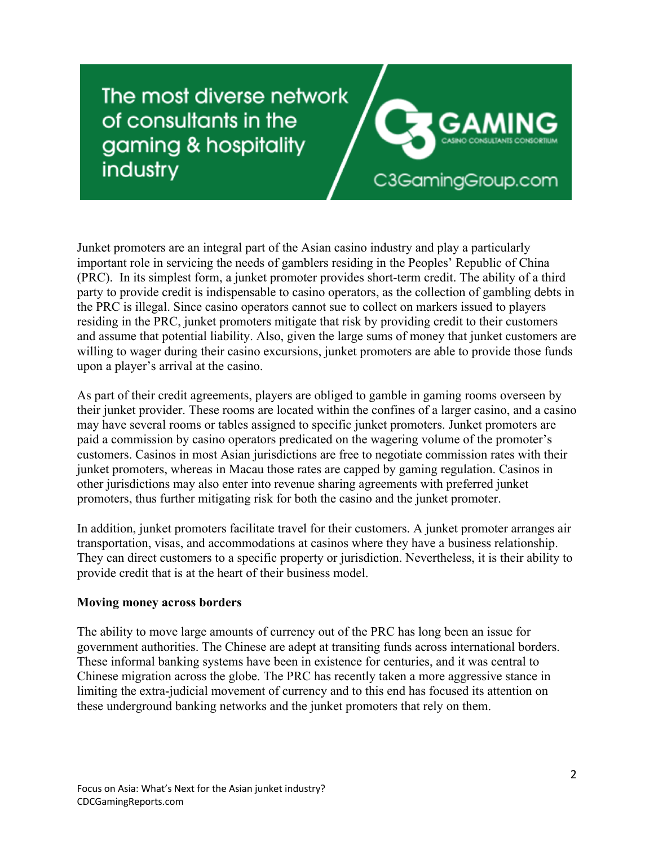## The most diverse network of consultants in the gaming & hospitality industry



Junket promoters are an integral part of the Asian casino industry and play a particularly important role in servicing the needs of gamblers residing in the Peoples' Republic of China (PRC). In its simplest form, a junket promoter provides short-term credit. The ability of a third party to provide credit is indispensable to casino operators, as the collection of gambling debts in the PRC is illegal. Since casino operators cannot sue to collect on markers issued to players residing in the PRC, junket promoters mitigate that risk by providing credit to their customers and assume that potential liability. Also, given the large sums of money that junket customers are willing to wager during their casino excursions, junket promoters are able to provide those funds upon a player's arrival at the casino.

As part of their credit agreements, players are obliged to gamble in gaming rooms overseen by their junket provider. These rooms are located within the confines of a larger casino, and a casino may have several rooms or tables assigned to specific junket promoters. Junket promoters are paid a commission by casino operators predicated on the wagering volume of the promoter's customers. Casinos in most Asian jurisdictions are free to negotiate commission rates with their junket promoters, whereas in Macau those rates are capped by gaming regulation. Casinos in other jurisdictions may also enter into revenue sharing agreements with preferred junket promoters, thus further mitigating risk for both the casino and the junket promoter.

In addition, junket promoters facilitate travel for their customers. A junket promoter arranges air transportation, visas, and accommodations at casinos where they have a business relationship. They can direct customers to a specific property or jurisdiction. Nevertheless, it is their ability to provide credit that is at the heart of their business model.

#### **Moving money across borders**

The ability to move large amounts of currency out of the PRC has long been an issue for government authorities. The Chinese are adept at transiting funds across international borders. These informal banking systems have been in existence for centuries, and it was central to Chinese migration across the globe. The PRC has recently taken a more aggressive stance in limiting the extra-judicial movement of currency and to this end has focused its attention on these underground banking networks and the junket promoters that rely on them.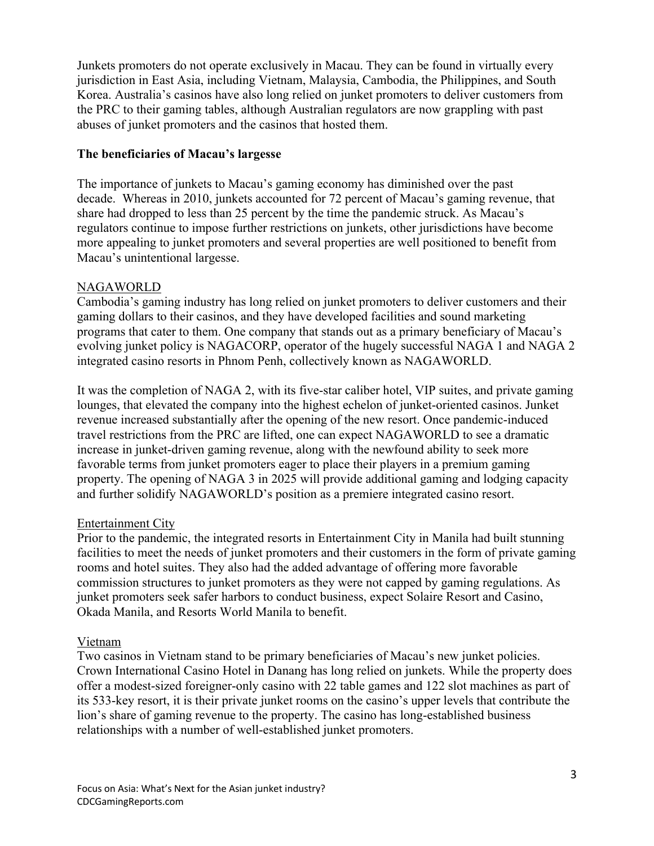Junkets promoters do not operate exclusively in Macau. They can be found in virtually every jurisdiction in East Asia, including Vietnam, Malaysia, Cambodia, the Philippines, and South Korea. Australia's casinos have also long relied on junket promoters to deliver customers from the PRC to their gaming tables, although Australian regulators are now grappling with past abuses of junket promoters and the casinos that hosted them.

#### **The beneficiaries of Macau's largesse**

The importance of junkets to Macau's gaming economy has diminished over the past decade. Whereas in 2010, junkets accounted for 72 percent of Macau's gaming revenue, that share had dropped to less than 25 percent by the time the pandemic struck. As Macau's regulators continue to impose further restrictions on junkets, other jurisdictions have become more appealing to junket promoters and several properties are well positioned to benefit from Macau's unintentional largesse.

#### NAGAWORLD

Cambodia's gaming industry has long relied on junket promoters to deliver customers and their gaming dollars to their casinos, and they have developed facilities and sound marketing programs that cater to them. One company that stands out as a primary beneficiary of Macau's evolving junket policy is NAGACORP, operator of the hugely successful NAGA 1 and NAGA 2 integrated casino resorts in Phnom Penh, collectively known as NAGAWORLD.

It was the completion of NAGA 2, with its five-star caliber hotel, VIP suites, and private gaming lounges, that elevated the company into the highest echelon of junket-oriented casinos. Junket revenue increased substantially after the opening of the new resort. Once pandemic-induced travel restrictions from the PRC are lifted, one can expect NAGAWORLD to see a dramatic increase in junket-driven gaming revenue, along with the newfound ability to seek more favorable terms from junket promoters eager to place their players in a premium gaming property. The opening of NAGA 3 in 2025 will provide additional gaming and lodging capacity and further solidify NAGAWORLD's position as a premiere integrated casino resort.

#### Entertainment City

Prior to the pandemic, the integrated resorts in Entertainment City in Manila had built stunning facilities to meet the needs of junket promoters and their customers in the form of private gaming rooms and hotel suites. They also had the added advantage of offering more favorable commission structures to junket promoters as they were not capped by gaming regulations. As junket promoters seek safer harbors to conduct business, expect Solaire Resort and Casino, Okada Manila, and Resorts World Manila to benefit.

#### Vietnam

Two casinos in Vietnam stand to be primary beneficiaries of Macau's new junket policies. Crown International Casino Hotel in Danang has long relied on junkets. While the property does offer a modest-sized foreigner-only casino with 22 table games and 122 slot machines as part of its 533-key resort, it is their private junket rooms on the casino's upper levels that contribute the lion's share of gaming revenue to the property. The casino has long-established business relationships with a number of well-established junket promoters.